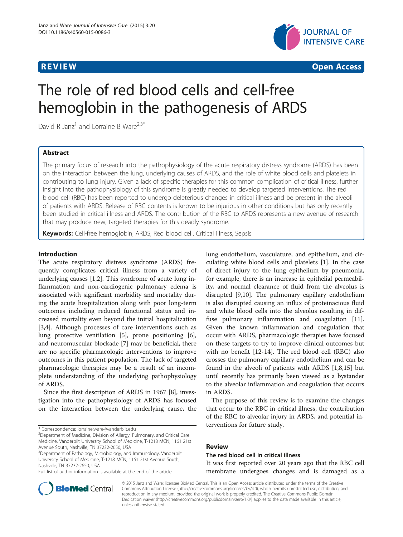

**REVIEW CONSTRUCTION CONSTRUCTION CONSTRUCTION CONSTRUCTION CONSTRUCTION CONSTRUCTION CONSTRUCTION CONSTRUCTION** 

# The role of red blood cells and cell-free hemoglobin in the pathogenesis of ARDS

David R Janz<sup>1</sup> and Lorraine B Ware<sup>2,3\*</sup>

# Abstract

The primary focus of research into the pathophysiology of the acute respiratory distress syndrome (ARDS) has been on the interaction between the lung, underlying causes of ARDS, and the role of white blood cells and platelets in contributing to lung injury. Given a lack of specific therapies for this common complication of critical illness, further insight into the pathophysiology of this syndrome is greatly needed to develop targeted interventions. The red blood cell (RBC) has been reported to undergo deleterious changes in critical illness and be present in the alveoli of patients with ARDS. Release of RBC contents is known to be injurious in other conditions but has only recently been studied in critical illness and ARDS. The contribution of the RBC to ARDS represents a new avenue of research that may produce new, targeted therapies for this deadly syndrome.

Keywords: Cell-free hemoglobin, ARDS, Red blood cell, Critical illness, Sepsis

# Introduction

The acute respiratory distress syndrome (ARDS) frequently complicates critical illness from a variety of underlying causes [\[1,2](#page-4-0)]. This syndrome of acute lung inflammation and non-cardiogenic pulmonary edema is associated with significant morbidity and mortality during the acute hospitalization along with poor long-term outcomes including reduced functional status and increased mortality even beyond the initial hospitalization [[3,4\]](#page-4-0). Although processes of care interventions such as lung protective ventilation [[5\]](#page-4-0), prone positioning [\[6](#page-4-0)], and neuromuscular blockade [[7\]](#page-4-0) may be beneficial, there are no specific pharmacologic interventions to improve outcomes in this patient population. The lack of targeted pharmacologic therapies may be a result of an incomplete understanding of the underlying pathophysiology of ARDS.

Since the first description of ARDS in 1967 [[8](#page-4-0)], investigation into the pathophysiology of ARDS has focused on the interaction between the underlying cause, the

<sup>2</sup>Department of Medicine, Division of Allergy, Pulmonary, and Critical Care Medicine, Vanderbilt University School of Medicine, T-1218 MCN, 1161 21st Avenue South, Nashville, TN 37232-2650, USA

<sup>3</sup>Department of Pathology, Microbiology, and Immunology, Vanderbilt University School of Medicine, T-1218 MCN, 1161 21st Avenue South, Nashville, TN 37232-2650, USA

lung endothelium, vasculature, and epithelium, and circulating white blood cells and platelets [\[1](#page-4-0)]. In the case of direct injury to the lung epithelium by pneumonia, for example, there is an increase in epithelial permeability, and normal clearance of fluid from the alveolus is disrupted [\[9,10](#page-4-0)]. The pulmonary capillary endothelium is also disrupted causing an influx of proteinacious fluid and white blood cells into the alveolus resulting in diffuse pulmonary inflammation and coagulation [\[11](#page-4-0)]. Given the known inflammation and coagulation that occur with ARDS, pharmacologic therapies have focused on these targets to try to improve clinical outcomes but with no benefit [[12](#page-4-0)[-14](#page-5-0)]. The red blood cell (RBC) also crosses the pulmonary capillary endothelium and can be found in the alveoli of patients with ARDS [[1,8,](#page-4-0)[15\]](#page-5-0) but until recently has primarily been viewed as a bystander to the alveolar inflammation and coagulation that occurs in ARDS.

The purpose of this review is to examine the changes that occur to the RBC in critical illness, the contribution of the RBC to alveolar injury in ARDS, and potential interventions for future study.

### Review

# The red blood cell in critical illness It was first reported over 20 years ago that the RBC cell

membrane undergoes changes and is damaged as a



© 2015 Janz and Ware; licensee BioMed Central. This is an Open Access article distributed under the terms of the Creative Commons Attribution License [\(http://creativecommons.org/licenses/by/4.0\)](http://creativecommons.org/licenses/by/4.0), which permits unrestricted use, distribution, and reproduction in any medium, provided the original work is properly credited. The Creative Commons Public Domain Dedication waiver [\(http://creativecommons.org/publicdomain/zero/1.0/](http://creativecommons.org/publicdomain/zero/1.0/)) applies to the data made available in this article, unless otherwise stated.

<sup>\*</sup> Correspondence: [lorraine.ware@vanderbilt.edu](mailto:lorraine.ware@vanderbilt.edu) <sup>2</sup>

Full list of author information is available at the end of the article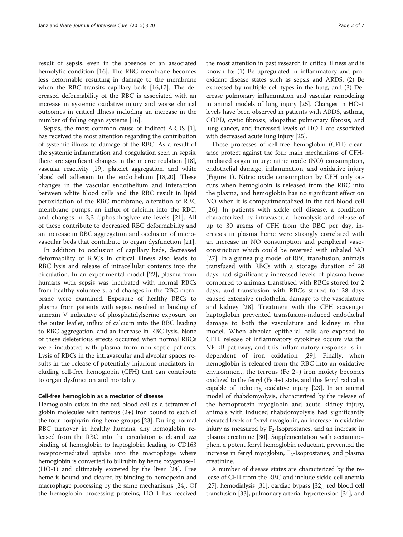result of sepsis, even in the absence of an associated hemolytic condition [\[16](#page-5-0)]. The RBC membrane becomes less deformable resulting in damage to the membrane when the RBC transits capillary beds [[16](#page-5-0),[17](#page-5-0)]. The decreased deformability of the RBC is associated with an increase in systemic oxidative injury and worse clinical outcomes in critical illness including an increase in the number of failing organ systems [[16](#page-5-0)].

Sepsis, the most common cause of indirect ARDS [[1](#page-4-0)], has received the most attention regarding the contribution of systemic illness to damage of the RBC. As a result of the systemic inflammation and coagulation seen in sepsis, there are significant changes in the microcirculation [[18](#page-5-0)], vascular reactivity [[19](#page-5-0)], platelet aggregation, and white blood cell adhesion to the endothelium [[18](#page-5-0),[20](#page-5-0)]. These changes in the vascular endothelium and interaction between white blood cells and the RBC result in lipid peroxidation of the RBC membrane, alteration of RBC membrane pumps, an influx of calcium into the RBC, and changes in 2,3-diphosphoglycerate levels [\[21](#page-5-0)]. All of these contribute to decreased RBC deformability and an increase in RBC aggregation and occlusion of microvascular beds that contribute to organ dysfunction [\[21](#page-5-0)].

In addition to occlusion of capillary beds, decreased deformability of RBCs in critical illness also leads to RBC lysis and release of intracellular contents into the circulation. In an experimental model [\[22\]](#page-5-0), plasma from humans with sepsis was incubated with normal RBCs from healthy volunteers, and changes in the RBC membrane were examined. Exposure of healthy RBCs to plasma from patients with sepsis resulted in binding of annexin V indicative of phosphatidylserine exposure on the outer leaflet, influx of calcium into the RBC leading to RBC aggregation, and an increase in RBC lysis. None of these deleterious effects occurred when normal RBCs were incubated with plasma from non-septic patients. Lysis of RBCs in the intravascular and alveolar spaces results in the release of potentially injurious mediators including cell-free hemoglobin (CFH) that can contribute to organ dysfunction and mortality.

## Cell-free hemoglobin as a mediator of disease

Hemoglobin exists in the red blood cell as a tetramer of globin molecules with ferrous (2+) iron bound to each of the four porphyrin-ring heme groups [[23](#page-5-0)]. During normal RBC turnover in healthy humans, any hemoglobin released from the RBC into the circulation is cleared via binding of hemoglobin to haptoglobin leading to CD163 receptor-mediated uptake into the macrophage where hemoglobin is converted to bilirubin by heme oxygenase-1 (HO-1) and ultimately excreted by the liver [\[24\]](#page-5-0). Free heme is bound and cleared by binding to hemopexin and macrophage processing by the same mechanisms [\[24\]](#page-5-0). Of the hemoglobin processing proteins, HO-1 has received

the most attention in past research in critical illness and is known to: (1) Be upregulated in inflammatory and prooxidant disease states such as sepsis and ARDS, (2) Be expressed by multiple cell types in the lung, and (3) Decrease pulmonary inflammation and vascular remodeling in animal models of lung injury [[25](#page-5-0)]. Changes in HO-1 levels have been observed in patients with ARDS, asthma, COPD, cystic fibrosis, idiopathic pulmonary fibrosis, and lung cancer, and increased levels of HO-1 are associated with decreased acute lung injury [[25](#page-5-0)].

These processes of cell-free hemoglobin (CFH) clearance protect against the four main mechanisms of CFHmediated organ injury: nitric oxide (NO) consumption, endothelial damage, inflammation, and oxidative injury (Figure [1](#page-2-0)). Nitric oxide consumption by CFH only occurs when hemoglobin is released from the RBC into the plasma, and hemoglobin has no significant effect on NO when it is compartmentalized in the red blood cell [[26\]](#page-5-0). In patients with sickle cell disease, a condition characterized by intravascular hemolysis and release of up to 30 grams of CFH from the RBC per day, increases in plasma heme were strongly correlated with an increase in NO consumption and peripheral vasoconstriction which could be reversed with inhaled NO [[27](#page-5-0)]. In a guinea pig model of RBC transfusion, animals transfused with RBCs with a storage duration of 28 days had significantly increased levels of plasma heme compared to animals transfused with RBCs stored for 2 days, and transfusion with RBCs stored for 28 days caused extensive endothelial damage to the vasculature and kidney [\[28](#page-5-0)]. Treatment with the CFH scavenger haptoglobin prevented transfusion-induced endothelial damage to both the vasculature and kidney in this model. When alveolar epithelial cells are exposed to CFH, release of inflammatory cytokines occurs via the NF-κB pathway, and this inflammatory response is independent of iron oxidation [[29\]](#page-5-0). Finally, when hemoglobin is released from the RBC into an oxidative environment, the ferrous (Fe  $2+$ ) iron moiety becomes oxidized to the ferryl (Fe 4+) state, and this ferryl radical is capable of inducing oxidative injury [[23](#page-5-0)]. In an animal model of rhabdomyolysis, characterized by the release of the hemoprotein myoglobin and acute kidney injury, animals with induced rhabdomyolysis had significantly elevated levels of ferryl myoglobin, an increase in oxidative injury as measured by  $F_2$ -Isoprostanes, and an increase in plasma creatinine [[30](#page-5-0)]. Supplementation with acetaminophen, a potent ferryl hemoglobin reductant, prevented the increase in ferryl myoglobin,  $F_2$ -Isoprostanes, and plasma creatinine.

A number of disease states are characterized by the release of CFH from the RBC and include sickle cell anemia [[27](#page-5-0)], hemodialysis [\[31\]](#page-5-0), cardiac bypass [\[32\]](#page-5-0), red blood cell transfusion [[33](#page-5-0)], pulmonary arterial hypertension [\[34](#page-5-0)], and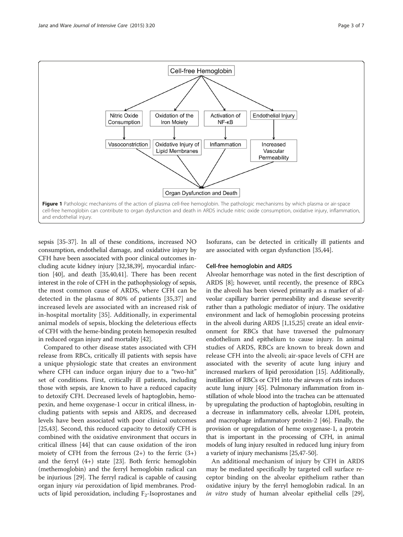<span id="page-2-0"></span>

sepsis [\[35-37](#page-5-0)]. In all of these conditions, increased NO consumption, endothelial damage, and oxidative injury by CFH have been associated with poor clinical outcomes including acute kidney injury [[32,38,39\]](#page-5-0), myocardial infarction [[40](#page-5-0)], and death [[35,40,41\]](#page-5-0). There has been recent interest in the role of CFH in the pathophysiology of sepsis, the most common cause of ARDS, where CFH can be detected in the plasma of 80% of patients [[35,37\]](#page-5-0) and increased levels are associated with an increased risk of in-hospital mortality [\[35](#page-5-0)]. Additionally, in experimental animal models of sepsis, blocking the deleterious effects of CFH with the heme-binding protein hemopexin resulted in reduced organ injury and mortality [[42](#page-5-0)].

Compared to other disease states associated with CFH release from RBCs, critically ill patients with sepsis have a unique physiologic state that creates an environment where CFH can induce organ injury due to a "two-hit" set of conditions. First, critically ill patients, including those with sepsis, are known to have a reduced capacity to detoxify CFH. Decreased levels of haptoglobin, hemopexin, and heme oxygenase-1 occur in critical illness, including patients with sepsis and ARDS, and decreased levels have been associated with poor clinical outcomes [[25,43\]](#page-5-0). Second, this reduced capacity to detoxify CFH is combined with the oxidative environment that occurs in critical illness [[44\]](#page-5-0) that can cause oxidation of the iron moiety of CFH from the ferrous  $(2+)$  to the ferric  $(3+)$ and the ferryl (4+) state [[23\]](#page-5-0). Both ferric hemoglobin (methemoglobin) and the ferryl hemoglobin radical can be injurious [\[29\]](#page-5-0). The ferryl radical is capable of causing organ injury via peroxidation of lipid membranes. Products of lipid peroxidation, including  $F_2$ -Isoprostanes and Isofurans, can be detected in critically ill patients and are associated with organ dysfunction [\[35,44](#page-5-0)].

### Cell-free hemoglobin and ARDS

Alveolar hemorrhage was noted in the first description of ARDS [\[8](#page-4-0)]; however, until recently, the presence of RBCs in the alveoli has been viewed primarily as a marker of alveolar capillary barrier permeability and disease severity rather than a pathologic mediator of injury. The oxidative environment and lack of hemoglobin processing proteins in the alveoli during ARDS [[1,](#page-4-0)[15,25\]](#page-5-0) create an ideal environment for RBCs that have traversed the pulmonary endothelium and epithelium to cause injury. In animal studies of ARDS, RBCs are known to break down and release CFH into the alveoli; air-space levels of CFH are associated with the severity of acute lung injury and increased markers of lipid peroxidation [\[15](#page-5-0)]. Additionally, instillation of RBCs or CFH into the airways of rats induces acute lung injury [\[45\]](#page-5-0). Pulmonary inflammation from instillation of whole blood into the trachea can be attenuated by upregulating the production of haptoglobin, resulting in a decrease in inflammatory cells, alveolar LDH, protein, and macrophage inflammatory protein-2 [[46](#page-5-0)]. Finally, the provision or upregulation of heme oxygenase-1, a protein that is important in the processing of CFH, in animal models of lung injury resulted in reduced lung injury from a variety of injury mechanisms [[25,47-50\]](#page-5-0).

An additional mechanism of injury by CFH in ARDS may be mediated specifically by targeted cell surface receptor binding on the alveolar epithelium rather than oxidative injury by the ferryl hemoglobin radical. In an in vitro study of human alveolar epithelial cells [\[29](#page-5-0)],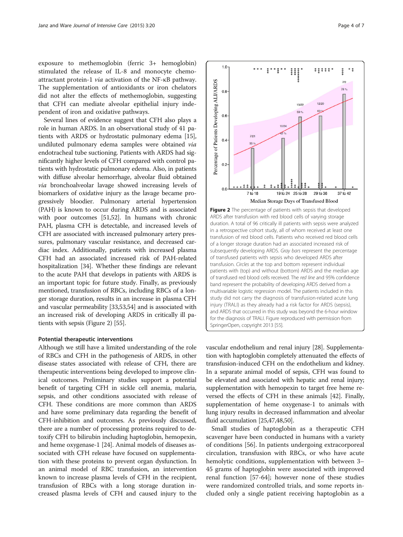exposure to methemoglobin (ferric 3+ hemoglobin) stimulated the release of IL-8 and monocyte chemoattractant protein-1 via activation of the NF-κB pathway. The supplementation of antioxidants or iron chelators did not alter the effects of methemoglobin, suggesting that CFH can mediate alveolar epithelial injury independent of iron and oxidative pathways.

Several lines of evidence suggest that CFH also plays a role in human ARDS. In an observational study of 41 patients with ARDS or hydrostatic pulmonary edema [[15](#page-5-0)], undiluted pulmonary edema samples were obtained via endotracheal tube suctioning. Patients with ARDS had significantly higher levels of CFH compared with control patients with hydrostatic pulmonary edema. Also, in patients with diffuse alveolar hemorrhage, alveolar fluid obtained via bronchoalveolar lavage showed increasing levels of biomarkers of oxidative injury as the lavage became progressively bloodier. Pulmonary arterial hypertension (PAH) is known to occur during ARDS and is associated with poor outcomes [\[51,52\]](#page-5-0). In humans with chronic PAH, plasma CFH is detectable, and increased levels of CFH are associated with increased pulmonary artery pressures, pulmonary vascular resistance, and decreased cardiac index. Additionally, patients with increased plasma CFH had an associated increased risk of PAH-related hospitalization [\[34\]](#page-5-0). Whether these findings are relevant to the acute PAH that develops in patients with ARDS is an important topic for future study. Finally, as previously mentioned, transfusion of RBCs, including RBCs of a longer storage duration, results in an increase in plasma CFH and vascular permeability [[33,53,54\]](#page-5-0) and is associated with an increased risk of developing ARDS in critically ill patients with sepsis (Figure 2) [\[55](#page-5-0)].

#### Potential therapeutic interventions

Although we still have a limited understanding of the role of RBCs and CFH in the pathogenesis of ARDS, in other disease states associated with release of CFH, there are therapeutic interventions being developed to improve clinical outcomes. Preliminary studies support a potential benefit of targeting CFH in sickle cell anemia, malaria, sepsis, and other conditions associated with release of CFH. These conditions are more common than ARDS and have some preliminary data regarding the benefit of CFH-inhibition and outcomes. As previously discussed, there are a number of processing proteins required to detoxify CFH to bilirubin including haptoglobin, hemopexin, and heme oxygenase-1 [\[24\]](#page-5-0). Animal models of diseases associated with CFH release have focused on supplementation with these proteins to prevent organ dysfunction. In an animal model of RBC transfusion, an intervention known to increase plasma levels of CFH in the recipient, transfusion of RBCs with a long storage duration increased plasma levels of CFH and caused injury to the



vascular endothelium and renal injury [[28](#page-5-0)]. Supplementation with haptoglobin completely attenuated the effects of transfusion-induced CFH on the endothelium and kidney. In a separate animal model of sepsis, CFH was found to be elevated and associated with hepatic and renal injury; supplementation with hemopexin to target free heme reversed the effects of CFH in these animals [\[42\]](#page-5-0). Finally, supplementation of heme oxygenase-1 to animals with lung injury results in decreased inflammation and alveolar fluid accumulation [\[25,47,48,50\]](#page-5-0).

Small studies of haptoglobin as a therapeutic CFH scavenger have been conducted in humans with a variety of conditions [[56\]](#page-5-0). In patients undergoing extracorporeal circulation, transfusion with RBCs, or who have acute hemolytic conditions, supplementation with between 3– 45 grams of haptoglobin were associated with improved renal function [[57-](#page-5-0)[64\]](#page-6-0); however none of these studies were randomized controlled trials, and some reports included only a single patient receiving haptoglobin as a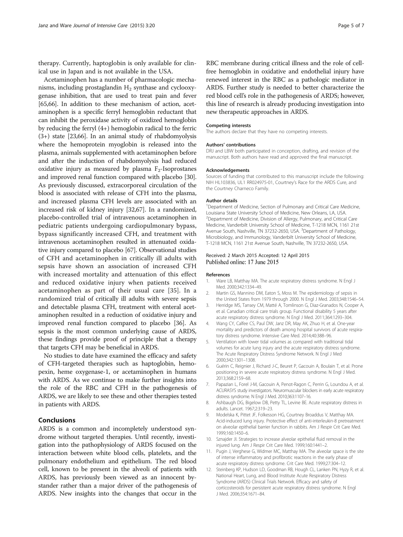<span id="page-4-0"></span>therapy. Currently, haptoglobin is only available for clinical use in Japan and is not available in the USA.

Acetaminophen has a number of pharmacologic mechanisms, including prostaglandin  $H_2$  synthase and cyclooxygenase inhibition, that are used to treat pain and fever [[65,66](#page-6-0)]. In addition to these mechanism of action, acetaminophen is a specific ferryl hemoglobin reductant that can inhibit the peroxidase activity of oxidized hemoglobin by reducing the ferryl (4+) hemoglobin radical to the ferric (3+) state [\[23,](#page-5-0)[66](#page-6-0)]. In an animal study of rhabdomyolysis where the hemoprotein myoglobin is released into the plasma, animals supplemented with acetaminophen before and after the induction of rhabdomyolysis had reduced oxidative injury as measured by plasma  $F_2$ -Isoprostanes and improved renal function compared with placebo [[30](#page-5-0)]. As previously discussed, extracorporeal circulation of the blood is associated with release of CFH into the plasma, and increased plasma CFH levels are associated with an increased risk of kidney injury [\[32](#page-5-0)[,67\]](#page-6-0). In a randomized, placebo-controlled trial of intravenous acetaminophen in pediatric patients undergoing cardiopulmonary bypass, bypass significantly increased CFH, and treatment with intravenous acetaminophen resulted in attenuated oxidative injury compared to placebo [\[67\]](#page-6-0). Observational studies of CFH and acetaminophen in critically ill adults with sepsis have shown an association of increased CFH with increased mortality and attenuation of this effect and reduced oxidative injury when patients received acetaminophen as part of their usual care [[35\]](#page-5-0). In a randomized trial of critically ill adults with severe sepsis and detectable plasma CFH, treatment with enteral acetaminophen resulted in a reduction of oxidative injury and improved renal function compared to placebo [\[36\]](#page-5-0). As sepsis is the most common underlying cause of ARDS, these findings provide proof of principle that a therapy that targets CFH may be beneficial in ARDS.

No studies to date have examined the efficacy and safety of CFH-targeted therapies such as haptoglobin, hemopexin, heme oxygenase-1, or acetaminophen in humans with ARDS. As we continue to make further insights into the role of the RBC and CFH in the pathogenesis of ARDS, we are likely to see these and other therapies tested in patients with ARDS.

# Conclusions

ARDS is a common and incompletely understood syndrome without targeted therapies. Until recently, investigation into the pathophysiology of ARDS focused on the interaction between white blood cells, platelets, and the pulmonary endothelium and epithelium. The red blood cell, known to be present in the alveoli of patients with ARDS, has previously been viewed as an innocent bystander rather than a major driver of the pathogenesis of ARDS. New insights into the changes that occur in the RBC membrane during critical illness and the role of cellfree hemoglobin in oxidative and endothelial injury have renewed interest in the RBC as a pathologic mediator in ARDS. Further study is needed to better characterize the red blood cell's role in the pathogenesis of ARDS; however, this line of research is already producing investigation into new therapeutic approaches in ARDS.

#### Competing interests

The authors declare that they have no competing interests.

#### Authors' contributions

DRJ and LBW both participated in conception, drafting, and revision of the manuscript. Both authors have read and approved the final manuscript.

#### Acknowledgements

Sources of funding that contributed to this manuscript include the following: NIH HL103836, UL1 RR024975-01, Courtney's Race for the ARDS Cure, and the Courtney Charneco Family.

#### Author details

<sup>1</sup>Department of Medicine, Section of Pulmonary and Critical Care Medicine, Louisiana State University School of Medicine, New Orleans, LA, USA. <sup>2</sup> Department of Medicine, Division of Allergy, Pulmonary, and Critical Care Medicine, Vanderbilt University School of Medicine, T-1218 MCN, 1161 21st Avenue South, Nashville, TN 37232-2650, USA. <sup>3</sup>Department of Pathology, Microbiology, and Immunology, Vanderbilt University School of Medicine, T-1218 MCN, 1161 21st Avenue South, Nashville, TN 37232-2650, USA.

#### Received: 2 March 2015 Accepted: 12 April 2015 Published online: 17 June 2015

#### References

- 1. Ware LB, Matthay MA. The acute respiratory distress syndrome. N Engl J Med. 2000;342:1334–49.
- 2. Martin GS, Mannino DM, Eaton S, Moss M. The epidemiology of sepsis in the United States from 1979 through 2000. N Engl J Med. 2003;348:1546–54.
- 3. Herridge MS, Tansey CM, Matté A, Tomlinson G, Diaz-Granados N, Cooper A, et al. Canadian critical care trials group. Functional disability 5 years after acute respiratory distress syndrome. N Engl J Med. 2011;364:1293–304.
- 4. Wang CY, Calfee CS, Paul DW, Janz DR, May AK, Zhuo H, et al. One-year mortality and predictors of death among hospital survivors of acute respiratory distress syndrome. Intensive Care Med. 2014;40:388–96.
- 5. Ventilation with lower tidal volumes as compared with traditional tidal volumes for acute lung injury and the acute respiratory distress syndrome. The Acute Respiratory Distress Syndrome Network. N Engl J Med 2000;342:1301–1308.
- 6. Guérin C, Reignier J, Richard J-C, Beuret P, Gacouin A, Boulain T, et al. Prone positioning in severe acute respiratory distress syndrome. N Engl J Med. 2013;368:2159–68.
- 7. Papazian L, Forel J-M, Gacouin A, Penot-Ragon C, Perrin G, Loundou A, et al. ACURASYS study investigators. Neuromuscular blockers in early acute respiratory distress syndrome. N Engl J Med. 2010;363:1107–16.
- 8. Ashbaugh DG, Bigelow DB, Petty TL, Levine BE. Acute respiratory distress in adults. Lancet. 1967;2:319–23.
- 9. Modelska K, Pittet JF, Folkesson HG, Courtney Broaddus V, Matthay MA. Acid-induced lung injury. Protective effect of anti-interleukin-8 pretreatment on alveolar epithelial barrier function in rabbits. Am J Respir Crit Care Med. 1999;160:1450–6.
- 10. Sznajder JI. Strategies to increase alveolar epithelial fluid removal in the injured lung. Am J Respir Crit Care Med. 1999;160:1441–2.
- 11. Pugin J, Verghese G, Widmer MC, Matthay MA. The alveolar space is the site of intense inflammatory and profibrotic reactions in the early phase of acute respiratory distress syndrome. Crit Care Med. 1999;27:304–12.
- 12. Steinberg KP, Hudson LD, Goodman RB, Hough CL, Lanken PN, Hyzy R, et al. National Heart, Lung, and Blood Institute Acute Respiratory Distress Syndrome (ARDS) Clinical Trials Network. Efficacy and safety of corticosteroids for persistent acute respiratory distress syndrome. N Engl J Med. 2006;354:1671–84.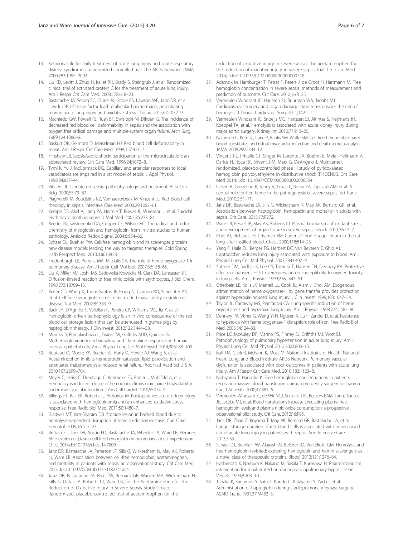- <span id="page-5-0"></span>13. Ketoconazole for early treatment of acute lung injury and acute respiratory distress syndrome: a randomized controlled trial. The ARDS Network. JAMA 2000;283:1995–2002.
- 14. Liu KD, Levitt J, Zhuo H, Kallet RH, Brady S, Steingrub J, et al. Randomized clinical trial of activated protein C for the treatment of acute lung injury. Am J Respir Crit Care Med. 2008;178:618–23.
- 15. Bastarache JA, Sebag SC, Clune JK, Grove BS, Lawson WE, Janz DR, et al. Low levels of tissue factor lead to alveolar haemorrhage, potentiating murine acute lung injury and oxidative stress. Thorax. 2012;67:1032–9.
- 16. Machiedo GW, Powell RJ, Rush BF, Swislocki NI, Dikdan G. The incidence of decreased red blood cell deformability in sepsis and the association with oxygen free radical damage and multiple-system organ failure. Arch Surg. 1989;124:1386–9.
- 17. Baskurt OK, Gelmont D, Meiselman HJ. Red blood cell deformability in sepsis. Am J Respir Crit Care Med. 1998;157:421–7.
- 18. Hinshaw LB. Sepsis/septic shock: participation of the microcirculation: an abbreviated review. Crit Care Med. 1996;24:1072–8.
- 19. Tyml K, Yu J, McCormack DG. Capillary and arteriolar responses to local vasodilators are impaired in a rat model of sepsis. J Appl Physiol. 1998;84:837–44.
- 20. Vincent JL. Update on sepsis: pathophysiology and treatment. Acta Clin Belg. 2000;55:79–87.
- 21. Piagnerelli M, Boudjeltia KZ, Vanhaeverbeek M, Vincent JL. Red blood cell rheology in sepsis. Intensive Care Med. 2003;29:1052–61.
- 22. Kempe DS, Akel A, Lang PA, Hermle T, Biswas R, Muresanu J, et al. Suicidal erythrocyte death in sepsis. J Mol Med. 2007;85:273–81.
- 23. Reeder BJ, Svistunenko DA, Cooper CE, Wilson MT. The radical and redox chemistry of myoglobin and hemoglobin: from in vitro studies to human pathology. Antioxid Redox Signal. 2004;6:954–66.
- 24. Schaer DJ, Buehler PW. Cell-free hemoglobin and its scavenger proteins: new disease models leading the way to targeted therapies. Cold Spring Harb Perspect Med. 2013;3:a013433.
- 25. Fredenburgh LE, Perrella MA, Mitsialis SA. The role of heme oxygenase-1 in pulmonary disease. Am J Respir Cell Mol Biol. 2007;36:158–65.
- 26. Liu X, Miller MJ, Joshi MS, Sadowska-Krowicka H, Clark DA, Lancaster JR. Diffusion-limited reaction of free nitric oxide with erythrocytes. J Biol Chem. 1998;273:18709–13.
- 27. Reiter CD, Wang X, Tanus-Santos JE, Hogg N, Cannon RO, Schechter AN, et al. Cell-free hemoglobin limits nitric oxide bioavailability in sickle-cell disease. Nat Med. 2002;8:1383–9.
- 28. Baek JH, D'Agnillo F, Vallelian F, Pereira CP, Williams MC, Jia Y, et al. Hemoglobin-driven pathophysiology is an in vivo consequence of the red blood cell storage lesion that can be attenuated in guinea pigs by haptoglobin therapy. J Clin Invest. 2012;122:1444–58.
- 29. Mumby S, Ramakrishnan L, Evans TW, Griffiths MJD, Quinlan GJ. Methemoglobin-induced signaling and chemokine responses in human alveolar epithelial cells. Am J Physiol Lung Cell Mol Physiol. 2014;306:L88–100.
- 30. Boutaud O, Moore KP, Reeder BJ, Harry D, Howie AJ, Wang S, et al. Acetaminophen inhibits hemoprotein-catalyzed lipid peroxidation and attenuates rhabdomyolysis-induced renal failure. Proc Natl Acad Sci U S A. 2010;107:2699–704.
- 31. Meyer C, Heiss C, Drexhage C, Kehmeier ES, Balzer J, Mühlfeld A, et al. Hemodialysis-induced release of hemoglobin limits nitric oxide bioavailability and impairs vascular function. J Am Coll Cardiol. 2010;55:454–9.
- 32. Billings FT, Ball SK, Roberts LJ, Pretorius M. Postoperative acute kidney injury is associated with hemoglobinemia and an enhanced oxidative stress response. Free Radic Biol Med. 2011;50:1480–7.
- 33. Gladwin MT, Kim-Shapiro DB. Storage lesion in banked blood due to hemolysis-dependent disruption of nitric oxide homeostasis. Curr Opin Hematol. 2009;16:515–23.
- 34. Brittain EL, Janz DR, Austin ED, Bastarache JA, Wheeler LA, Ware LB, Hemnes AR. Elevation of plasma cell-free hemoglobin in pulmonary arterial hypertension. Chest 2014;doi:10.1378/chest.14-0809.
- 35. Janz DR, Bastarache JA, Peterson JF, Sills G, Wickersham N, May AK, Roberts LJ, Ware LB. Association between cell-free hemoglobin, acetaminophen, and mortality in patients with sepsis: an observational study. Crit Care Med 2013;doi:10.1097/CCM.0b013e3182741a54.
- 36. Janz DR, Bastarache JA, Rice TW, Bernard GR, Warren MA, Wickersham N, Sills G, Oates JA, Roberts LJ, Ware LB, for the Acetaminophen for the Reduction of Oxidative injury in Severe Sepsis Study Group. Randomized, placebo-controlled trial of acetaminophen for the
- 37. Adamzik M, Hamburger T, Petrat F, Peters J, de Groot H, Hartmann M. Free hemoglobin concentration in severe sepsis: methods of measurement and prediction of outcome. Crit Care. 2012;16:R125.
- 38. Vermeulen Windsant IC, Hanssen SJ, Buurman WA, Jacobs MJ. Cardiovascular surgery and organ damage: time to reconsider the role of hemolysis. J Thorac Cardiovasc Surg. 2011;142:1–11.
- 39. Vermeulen Windsant IC, Snoeijs MG, Hanssen SJ, Altintas S, Heijmans JH, Koeppel TA, et al. Hemolysis is associated with acute kidney injury during major aortic surgery. Kidney Int. 2010;77:913–20.
- 40. Natanson C, Kern SJ, Lurie P, Banks SM, Wolfe SM. Cell-free hemoglobin-based blood substitutes and risk of myocardial infarction and death: a meta-analysis. JAMA. 2008;299:2304–12.
- 41. Vincent J-L, Privalle CT, Singer M, Lorente JA, Boehm E, Meier-Hellmann A, Darius H, Roca RF, Sirvent J-M, Marx G, DeAngelo J. Multicenter, randomized, placebo-controlled phase III study of pyridoxalated hemoglobin polyoxyethylene in distributive shock (PHOENIX). Crit Care Med 2014;1.doi:10.1097/CCM.0000000000000554
- 42. Larsen R, Gozzelino R, Jeney V, Tokaji L, Bozza FA, Japiassú AM, et al. A central role for free heme in the pathogenesis of severe sepsis. Sci Transl Med. 2010;2:51–71.
- 43. Janz DR, Bastarache JA, Sills G, Wickersham N, May AK, Bernard GR, et al. Association between haptoglobin, hemopexin and mortality in adults with sepsis. Crit Care. 2013;17:R272.
- 44. Ware LB, Fessel JP, May AK, Roberts LJ. Plasma biomarkers of oxidant stress and development of organ failure in severe sepsis. Shock. 2011;36:12–7.
- 45. Ghio AJ, Richards JH, Crissman KM, Carter JD. Iron disequilibrium in the rat lung after instilled blood. Chest. 2000;118:814–23.
- 46. Yang F, Haile DJ, Berger FG, Herbert DC, Van Beveren E, Ghio AJ. Haptoglobin reduces lung injury associated with exposure to blood. Am J Physiol Lung Cell Mol Physiol. 2003;284:L402–9.
- 47. Suttner DM, Sridhar K, Lee CS, Tomura T, Hansen TN, Dennery PA. Protective effects of transient HO-1 overexpression on susceptibility to oxygen toxicity in lung cells. Am J Physiol. 1999;276:L443–51.
- 48. Otterbein LE, Kolls JK, Mantell LL, Cook JL, Alam J, Choi AM. Exogenous administration of heme oxygenase-1 by gene transfer provides protection against hyperoxia-induced lung injury. J Clin Invest. 1999;103:1047–54.
- 49. Taylor JL, Carraway MS, Piantadosi CA. Lung-specific induction of heme oxygenase-1 and hyperoxic lung injury. Am J Physiol. 1998;274:L582–90.
- 50. Dennery PA, Visner G, Weng YI-H, Nguyen X, Lu F, Zander D, et al. Resistance to hyperoxia with heme oxygenase-1 disruption: role of iron. Free Radic Biol Med. 2003;34:124–33.
- 51. Price LC, McAuley DF, Marino PS, Finney SJ, Griffiths MJ, Wort SJ. Pathophysiology of pulmonary hypertension in acute lung injury. Am J Physiol Lung Cell Mol Physiol. 2012;302:L803–15.
- 52. Bull TM, Clark B, McFann K, Moss M. National Institutes of Health, National Heart, Lung, and Blood Institute ARDS Network. Pulmonary vascular dysfunction is associated with poor outcomes in patients with acute lung injury. Am J Respir Crit Care Med. 2010;182:1123–8.
- 53. Nishiyama T, Hanaoka K. Free hemoglobin concentrations in patients receiving massive blood transfusion during emergency surgery for trauma. Can J Anaesth. 2000;47:881–5.
- 54. Vermeulen Windsant IC, de Wit NCJ, Sertorio JTC, Beckers EAM, Tanus-Santos JE, Jacobs MJ, et al. Blood transfusions increase circulating plasma free hemoglobin levels and plasma nitric oxide consumption: a prospective observational pilot study. Crit Care. 2012;16:R95.
- 55. Janz DR, Zhao Z, Koyama T, May AK, Bernard GR, Bastarache JA, et al. Longer storage duration of red blood cells is associated with an increased risk of acute lung injury in patients with sepsis. Ann Intensive Care. 2013;3:33.
- 56. Schaer DJ, Buehler PW, Alayash AI, Belcher JD, Vercellotti GM. Hemolysis and free hemoglobin revisited: exploring hemoglobin and hemin scavengers as a novel class of therapeutic proteins. Blood. 2013;121:1276–84.
- 57. Hashimoto K, Nomura K, Nakano M, Sasaki T, Kurosawa H. Pharmacological intervention for renal protection during cardiopulmonary bypass. Heart Vessels. 1993;8:203–10.
- 58. Tanaka K, Kanamori Y, Sato T, Kondo C, Katayama Y, Yada I, et al. Administration of haptoglobin during cardiopulmonary bypass surgery. ASAIO Trans. 1991;37:M482–3.